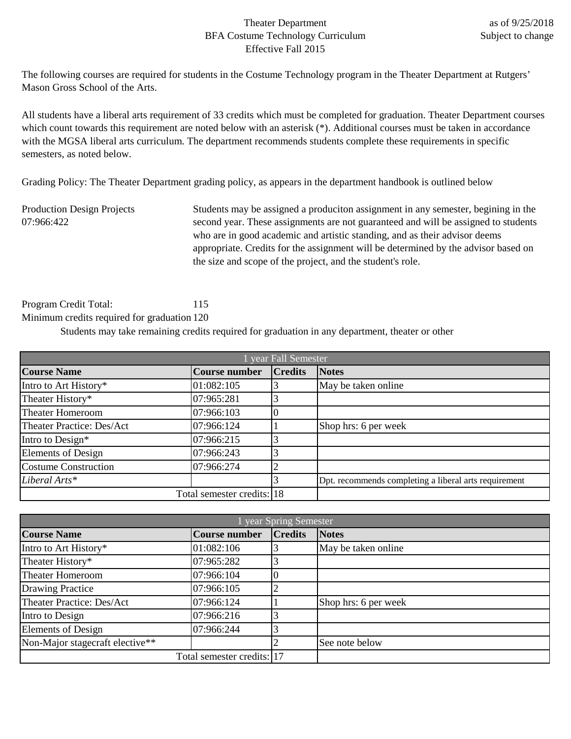## Theater Department BFA Costume Technology Curriculum Effective Fall 2015

The following courses are required for students in the Costume Technology program in the Theater Department at Rutgers' Mason Gross School of the Arts.

All students have a liberal arts requirement of 33 credits which must be completed for graduation. Theater Department courses which count towards this requirement are noted below with an asterisk (\*). Additional courses must be taken in accordance with the MGSA liberal arts curriculum. The department recommends students complete these requirements in specific semesters, as noted below.

Grading Policy: The Theater Department grading policy, as appears in the department handbook is outlined below

Production Design Projects 07:966:422

Students may be assigned a produciton assignment in any semester, begining in the second year. These assignments are not guaranteed and will be assigned to students who are in good academic and artistic standing, and as their advisor deems appropriate. Credits for the assignment will be determined by the advisor based on the size and scope of the project, and the student's role.

Program Credit Total: 115 Minimum credits required for graduation 120

Students may take remaining credits required for graduation in any department, theater or other

| year Fall Semester          |                            |                |                                                       |
|-----------------------------|----------------------------|----------------|-------------------------------------------------------|
| <b>Course Name</b>          | <b>Course number</b>       | <b>Credits</b> | <b>Notes</b>                                          |
| Intro to Art History*       | 01:082:105                 |                | May be taken online                                   |
| Theater History*            | 07:965:281                 |                |                                                       |
| <b>Theater Homeroom</b>     | 07:966:103                 |                |                                                       |
| Theater Practice: Des/Act   | 07:966:124                 |                | Shop hrs: 6 per week                                  |
| Intro to Design*            | 07:966:215                 |                |                                                       |
| <b>Elements of Design</b>   | 07:966:243                 |                |                                                       |
| <b>Costume Construction</b> | 07:966:274                 | ി              |                                                       |
| Liberal Arts*               |                            |                | Dpt. recommends completing a liberal arts requirement |
|                             | Total semester credits: 18 |                |                                                       |

| year Spring Semester            |                            |                |                      |
|---------------------------------|----------------------------|----------------|----------------------|
| <b>Course Name</b>              | Course number              | <b>Credits</b> | <b>Notes</b>         |
| Intro to Art History*           | 01:082:106                 |                | May be taken online  |
| Theater History*                | 07:965:282                 |                |                      |
| <b>Theater Homeroom</b>         | 07:966:104                 |                |                      |
| <b>Drawing Practice</b>         | 07:966:105                 |                |                      |
| Theater Practice: Des/Act       | 07:966:124                 |                | Shop hrs: 6 per week |
| Intro to Design                 | 07:966:216                 |                |                      |
| <b>Elements of Design</b>       | 07:966:244                 |                |                      |
| Non-Major stagecraft elective** |                            |                | See note below       |
|                                 | Total semester credits: 17 |                |                      |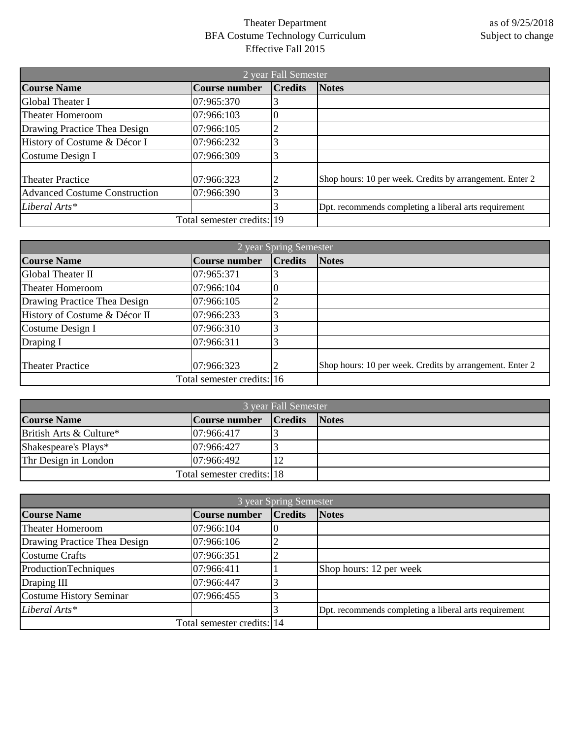## Theater Department BFA Costume Technology Curriculum Effective Fall 2015

| 2 year Fall Semester                 |                            |                |                                                          |
|--------------------------------------|----------------------------|----------------|----------------------------------------------------------|
| <b>Course Name</b>                   | <b>Course number</b>       | <b>Credits</b> | <b>Notes</b>                                             |
| Global Theater I                     | 07:965:370                 |                |                                                          |
| Theater Homeroom                     | 07:966:103                 | Ю              |                                                          |
| Drawing Practice Thea Design         | 07:966:105                 |                |                                                          |
| History of Costume & Décor I         | 07:966:232                 |                |                                                          |
| Costume Design I                     | 07:966:309                 |                |                                                          |
| <b>Theater Practice</b>              | 07:966:323                 |                | Shop hours: 10 per week. Credits by arrangement. Enter 2 |
| <b>Advanced Costume Construction</b> | 07:966:390                 |                |                                                          |
| Liberal Arts*                        |                            |                | Dpt. recommends completing a liberal arts requirement    |
|                                      | Total semester credits: 19 |                |                                                          |

| 2 year Spring Semester        |                            |                |                                                          |
|-------------------------------|----------------------------|----------------|----------------------------------------------------------|
| <b>Course Name</b>            | <b>Course number</b>       | <b>Credits</b> | <b>Notes</b>                                             |
| Global Theater II             | 07:965:371                 |                |                                                          |
| <b>Theater Homeroom</b>       | 07:966:104                 |                |                                                          |
| Drawing Practice Thea Design  | 07:966:105                 |                |                                                          |
| History of Costume & Décor II | 07:966:233                 |                |                                                          |
| Costume Design I              | 07:966:310                 |                |                                                          |
| Draping I                     | 07:966:311                 |                |                                                          |
| <b>Theater Practice</b>       | 07:966:323                 |                | Shop hours: 10 per week. Credits by arrangement. Enter 2 |
|                               | Total semester credits: 16 |                |                                                          |

| 3 year Fall Semester    |                            |                |              |
|-------------------------|----------------------------|----------------|--------------|
| <b>Course Name</b>      | Course number              | <b>Credits</b> | <b>Notes</b> |
| British Arts & Culture* | 07:966:417                 |                |              |
| Shakespeare's Plays*    | 07:966:427                 |                |              |
| Thr Design in London    | 07:966:492                 |                |              |
|                         | Total semester credits: 18 |                |              |

| 3 year Spring Semester         |                            |                |                                                       |
|--------------------------------|----------------------------|----------------|-------------------------------------------------------|
| <b>Course Name</b>             | <b>Course number</b>       | <b>Credits</b> | <b>Notes</b>                                          |
| <b>Theater Homeroom</b>        | 07:966:104                 |                |                                                       |
| Drawing Practice Thea Design   | 07:966:106                 |                |                                                       |
| <b>Costume Crafts</b>          | 07:966:351                 |                |                                                       |
| ProductionTechniques           | 07:966:411                 |                | Shop hours: 12 per week                               |
| Draping III                    | 07:966:447                 |                |                                                       |
| <b>Costume History Seminar</b> | 07:966:455                 |                |                                                       |
| Liberal Arts*                  |                            |                | Dpt. recommends completing a liberal arts requirement |
|                                | Total semester credits: 14 |                |                                                       |